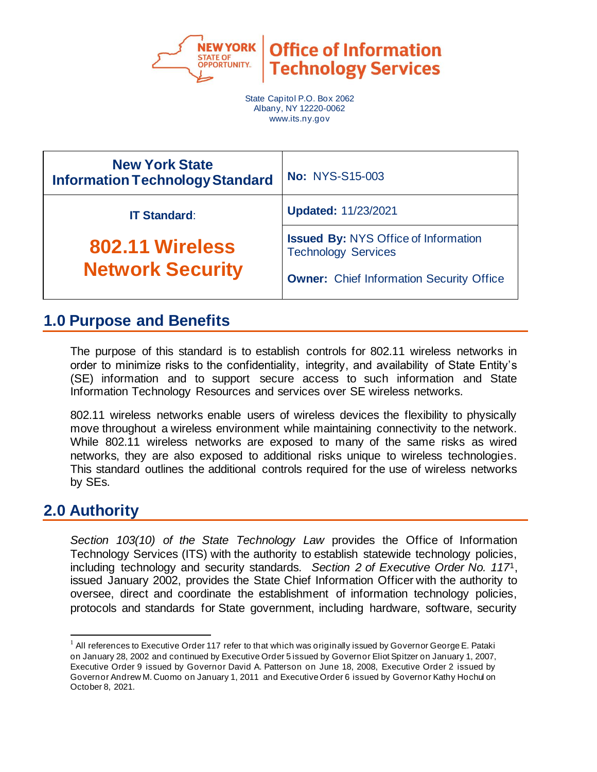

**Office of Information Technology Services** 

State Capitol P.O. Box 2062 Albany, NY 12220-0062 www.its.ny.gov

| <b>New York State</b><br><b>Information Technology Standard</b> | <b>No: NYS-S15-003</b>                                                                                                       |
|-----------------------------------------------------------------|------------------------------------------------------------------------------------------------------------------------------|
| <b>IT Standard:</b>                                             | <b>Updated: 11/23/2021</b>                                                                                                   |
| 802.11 Wireless<br><b>Network Security</b>                      | <b>Issued By: NYS Office of Information</b><br><b>Technology Services</b><br><b>Owner:</b> Chief Information Security Office |

# **1.0 Purpose and Benefits**

The purpose of this standard is to establish controls for 802.11 wireless networks in order to minimize risks to the confidentiality, integrity, and availability of State Entity's (SE) information and to support secure access to such information and State Information Technology Resources and services over SE wireless networks.

802.11 wireless networks enable users of wireless devices the flexibility to physically move throughout a wireless environment while maintaining connectivity to the network. While 802.11 wireless networks are exposed to many of the same risks as wired networks, they are also exposed to additional risks unique to wireless technologies. This standard outlines the additional controls required for the use of wireless networks by SEs.

# **2.0 Authority**

*Section 103(10) of the State Technology Law* provides the Office of Information Technology Services (ITS) with the authority to establish statewide technology policies, including technology and security standards. *Section 2 of Executive Order No. 117*1, issued January 2002, provides the State Chief Information Officer with the authority to oversee, direct and coordinate the establishment of information technology policies, protocols and standards for State government, including hardware, software, security

 $1$  All references to Executive Order 117 refer to that which was originally issued by Governor George E. Pataki on January 28, 2002 and continued by Executive Order 5 issued by Governor Eliot Spitzer on January 1, 2007, Executive Order 9 issued by Governor David A. Patterson on June 18, 2008, Executive Order 2 issued by Governor Andrew M. Cuomo on January 1, 2011 and Executive Order 6 issued by Governor Kathy Hochul on October 8, 2021.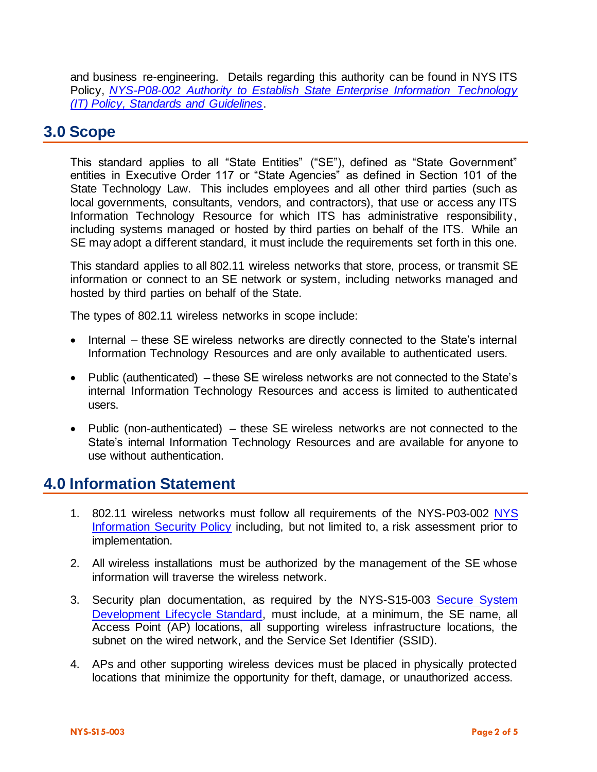and business re-engineering. Details regarding this authority can be found in NYS ITS Policy, *[NYS-P08-002 Authority to Establish State Enterprise Information Technology](https://its.ny.gov/document/authority-establish-state-enterprise-information-technology-it-policy-standards-and-guidelines)  [\(IT\) Policy, Standards and Guidelines](https://its.ny.gov/document/authority-establish-state-enterprise-information-technology-it-policy-standards-and-guidelines)*.

### **3.0 Scope**

This standard applies to all "State Entities" ("SE"), defined as "State Government" entities in Executive Order 117 or "State Agencies" as defined in Section 101 of the State Technology Law. This includes employees and all other third parties (such as local governments, consultants, vendors, and contractors), that use or access any ITS Information Technology Resource for which ITS has administrative responsibility, including systems managed or hosted by third parties on behalf of the ITS. While an SE may adopt a different standard, it must include the requirements set forth in this one.

This standard applies to all 802.11 wireless networks that store, process, or transmit SE information or connect to an SE network or system, including networks managed and hosted by third parties on behalf of the State.

The types of 802.11 wireless networks in scope include:

- Internal these SE wireless networks are directly connected to the State's internal Information Technology Resources and are only available to authenticated users.
- Public (authenticated) these SE wireless networks are not connected to the State's internal Information Technology Resources and access is limited to authenticated users.
- Public (non-authenticated) these SE wireless networks are not connected to the State's internal Information Technology Resources and are available for anyone to use without authentication.

#### **4.0 Information Statement**

- 1. 802.11 wireless networks must follow all requirements of the NYS-P03-002 [NYS](http://www.its.ny.gov/document/information-security-policy)  [Information Security Policy](http://www.its.ny.gov/document/information-security-policy) including, but not limited to, a risk assessment prior to implementation.
- 2. All wireless installations must be authorized by the management of the SE whose information will traverse the wireless network.
- 3. Security plan documentation, as required by the NYS-S15-003 [Secure System](http://www.its.ny.gov/document/secure-system-development-life-cycle-ssdlc-standard)  [Development Lifecycle Standard,](http://www.its.ny.gov/document/secure-system-development-life-cycle-ssdlc-standard) must include, at a minimum, the SE name, all Access Point (AP) locations, all supporting wireless infrastructure locations, the subnet on the wired network, and the Service Set Identifier (SSID).
- 4. APs and other supporting wireless devices must be placed in physically protected locations that minimize the opportunity for theft, damage, or unauthorized access.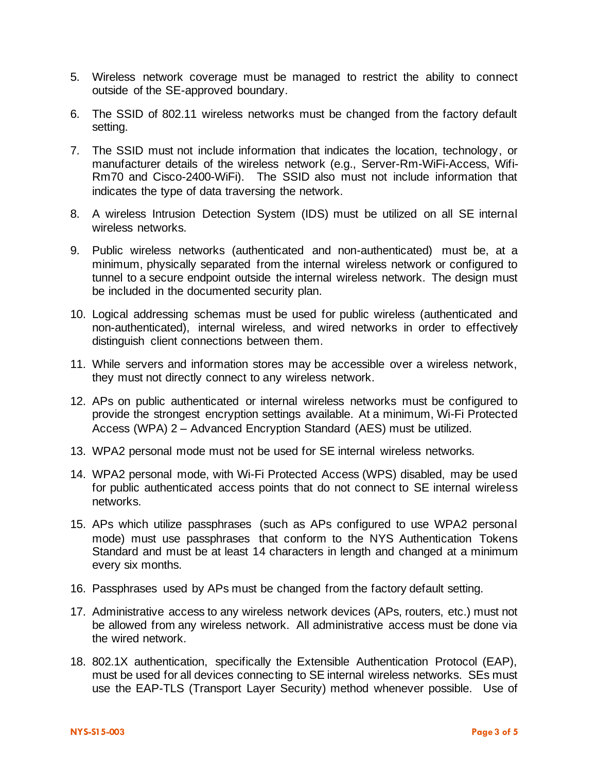- 5. Wireless network coverage must be managed to restrict the ability to connect outside of the SE-approved boundary.
- 6. The SSID of 802.11 wireless networks must be changed from the factory default setting.
- 7. The SSID must not include information that indicates the location, technology, or manufacturer details of the wireless network (e.g., Server-Rm-WiFi-Access, Wifi-Rm70 and Cisco-2400-WiFi). The SSID also must not include information that indicates the type of data traversing the network.
- 8. A wireless Intrusion Detection System (IDS) must be utilized on all SE internal wireless networks.
- 9. Public wireless networks (authenticated and non-authenticated) must be, at a minimum, physically separated from the internal wireless network or configured to tunnel to a secure endpoint outside the internal wireless network. The design must be included in the documented security plan.
- 10. Logical addressing schemas must be used for public wireless (authenticated and non-authenticated), internal wireless, and wired networks in order to effectively distinguish client connections between them.
- 11. While servers and information stores may be accessible over a wireless network, they must not directly connect to any wireless network.
- 12. APs on public authenticated or internal wireless networks must be configured to provide the strongest encryption settings available. At a minimum, Wi-Fi Protected Access (WPA) 2 – Advanced Encryption Standard (AES) must be utilized.
- 13. WPA2 personal mode must not be used for SE internal wireless networks.
- 14. WPA2 personal mode, with Wi-Fi Protected Access (WPS) disabled, may be used for public authenticated access points that do not connect to SE internal wireless networks.
- 15. APs which utilize passphrases (such as APs configured to use WPA2 personal mode) must use passphrases that conform to the NYS Authentication Tokens Standard and must be at least 14 characters in length and changed at a minimum every six months.
- 16. Passphrases used by APs must be changed from the factory default setting.
- 17. Administrative access to any wireless network devices (APs, routers, etc.) must not be allowed from any wireless network. All administrative access must be done via the wired network.
- 18. 802.1X authentication, specifically the Extensible Authentication Protocol (EAP), must be used for all devices connecting to SE internal wireless networks. SEs must use the EAP-TLS (Transport Layer Security) method whenever possible. Use of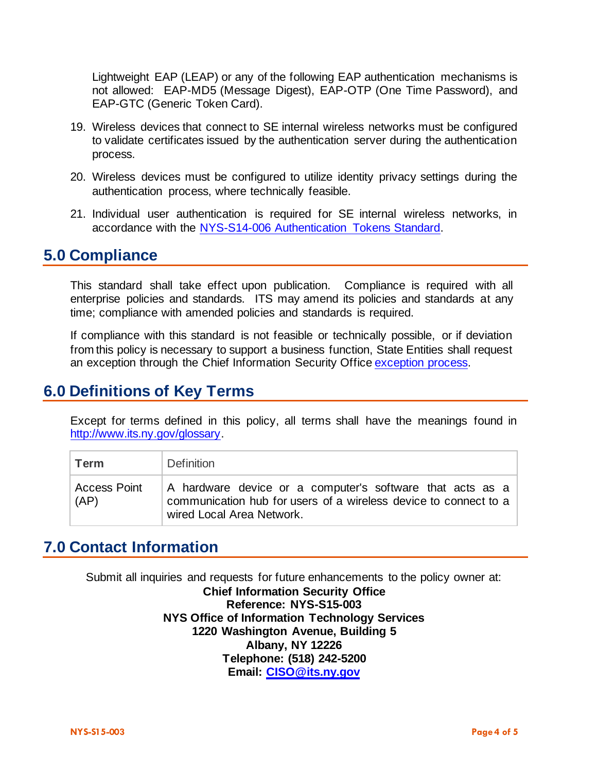Lightweight EAP (LEAP) or any of the following EAP authentication mechanisms is not allowed: EAP-MD5 (Message Digest), EAP-OTP (One Time Password), and EAP-GTC (Generic Token Card).

- 19. Wireless devices that connect to SE internal wireless networks must be configured to validate certificates issued by the authentication server during the authentication process.
- 20. Wireless devices must be configured to utilize identity privacy settings during the authentication process, where technically feasible.
- 21. Individual user authentication is required for SE internal wireless networks, in accordance with the [NYS-S14-006 Authentication Tokens Standard.](https://its.ny.gov/document/authentication-tokens-standard)

#### **5.0 Compliance**

This standard shall take effect upon publication. Compliance is required with all enterprise policies and standards. ITS may amend its policies and standards at any time; compliance with amended policies and standards is required.

If compliance with this standard is not feasible or technically possible, or if deviation from this policy is necessary to support a business function, State Entities shall request an exception through the Chief Information Security Offic[e exception process.](http://www.its.ny.gov/document/information-security-exception-policy)

### **6.0 Definitions of Key Terms**

Except for terms defined in this policy, all terms shall have the meanings found in [http://www.its.ny.gov/glossary.](http://www.its.ny.gov/glossary)

| Term                        | <b>Definition</b>                                                                                                                                          |
|-----------------------------|------------------------------------------------------------------------------------------------------------------------------------------------------------|
| <b>Access Point</b><br>(AP) | A hardware device or a computer's software that acts as a<br>communication hub for users of a wireless device to connect to a<br>wired Local Area Network. |

# **7.0 Contact Information**

Submit all inquiries and requests for future enhancements to the policy owner at:

**Chief Information Security Office Reference: NYS-S15-003 NYS Office of Information Technology Services 1220 Washington Avenue, Building 5 Albany, NY 12226 Telephone: (518) 242-5200 Email: [CISO@its.ny.gov](mailto:CISO@its.ny.gov)**